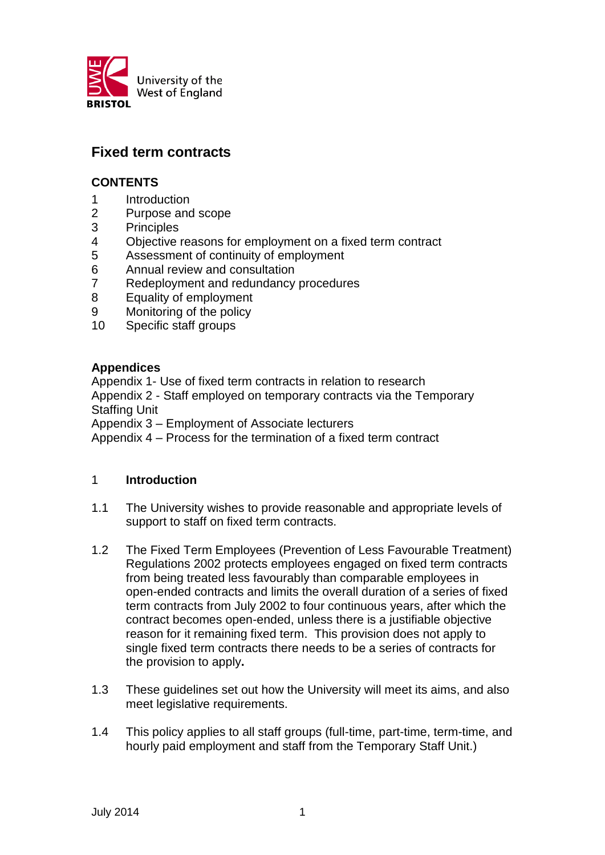

# **Fixed term contracts**

### **CONTENTS**

- 1 Introduction
- 2 Purpose and scope
- 3 Principles
- 4 Objective reasons for employment on a fixed term contract
- 5 Assessment of continuity of employment
- 6 Annual review and consultation
- 7 Redeployment and redundancy procedures
- 8 Equality of employment
- 9 Monitoring of the policy
- 10 Specific staff groups

### **Appendices**

Appendix 1- Use of fixed term contracts in relation to research Appendix 2 - Staff employed on temporary contracts via the Temporary Staffing Unit

Appendix 3 – Employment of Associate lecturers

Appendix 4 – Process for the termination of a fixed term contract

### 1 **Introduction**

- 1.1 The University wishes to provide reasonable and appropriate levels of support to staff on fixed term contracts.
- 1.2 The Fixed Term Employees (Prevention of Less Favourable Treatment) Regulations 2002 protects employees engaged on fixed term contracts from being treated less favourably than comparable employees in open-ended contracts and limits the overall duration of a series of fixed term contracts from July 2002 to four continuous years, after which the contract becomes open-ended, unless there is a justifiable objective reason for it remaining fixed term. This provision does not apply to single fixed term contracts there needs to be a series of contracts for the provision to apply**.**
- 1.3 These guidelines set out how the University will meet its aims, and also meet legislative requirements.
- 1.4 This policy applies to all staff groups (full-time, part-time, term-time, and hourly paid employment and staff from the Temporary Staff Unit.)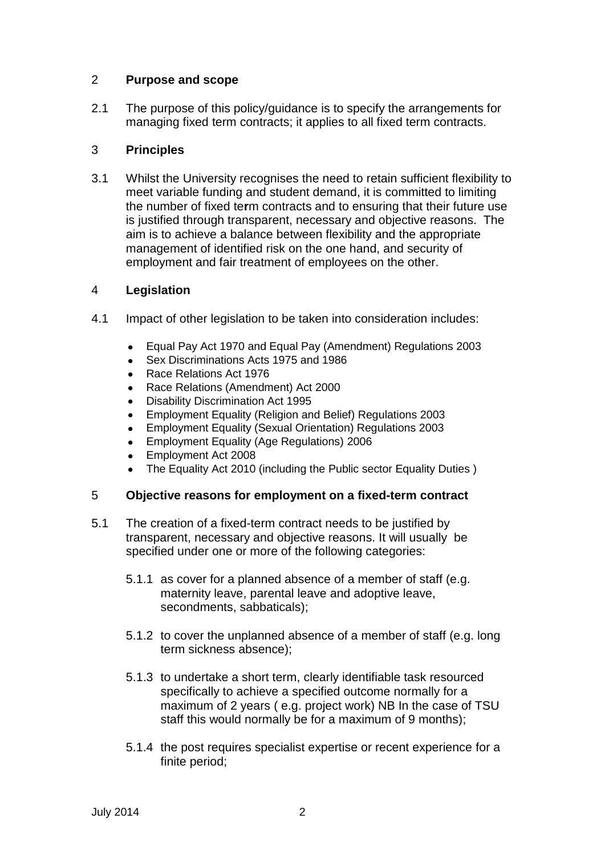### 2 **Purpose and scope**

2.1 The purpose of this policy/guidance is to specify the arrangements for managing fixed term contracts; it applies to all fixed term contracts.

### 3 **Principles**

3.1 Whilst the University recognises the need to retain sufficient flexibility to meet variable funding and student demand, it is committed to limiting the number of fixed te**r**m contracts and to ensuring that their future use is justified through transparent, necessary and objective reasons. The aim is to achieve a balance between flexibility and the appropriate management of identified risk on the one hand, and security of employment and fair treatment of employees on the other.

### 4 **Legislation**

- 4.1 Impact of other legislation to be taken into consideration includes:
	- Equal Pay Act 1970 and Equal Pay (Amendment) Regulations 2003  $\bullet$
	- $\bullet$ Sex Discriminations Acts 1975 and 1986
	- Race Relations Act 1976
	- Race Relations (Amendment) Act 2000  $\bullet$
	- Disability Discrimination Act 1995  $\bullet$
	- $\bullet$ Employment Equality (Religion and Belief) Regulations 2003
	- Employment Equality (Sexual Orientation) Regulations 2003  $\bullet$
	- Employment Equality (Age Regulations) 2006
	- Employment Act 2008
	- The Equality Act 2010 (including the Public sector Equality Duties )

### 5 **Objective reasons for employment on a fixed-term contract**

- 5.1 The creation of a fixed-term contract needs to be justified by transparent, necessary and objective reasons. It will usually be specified under one or more of the following categories:
	- 5.1.1 as cover for a planned absence of a member of staff (e.g. maternity leave, parental leave and adoptive leave, secondments, sabbaticals);
	- 5.1.2 to cover the unplanned absence of a member of staff (e.g. long term sickness absence);
	- 5.1.3 to undertake a short term, clearly identifiable task resourced specifically to achieve a specified outcome normally for a maximum of 2 years ( e.g. project work) NB In the case of TSU staff this would normally be for a maximum of 9 months);
	- 5.1.4 the post requires specialist expertise or recent experience for a finite period;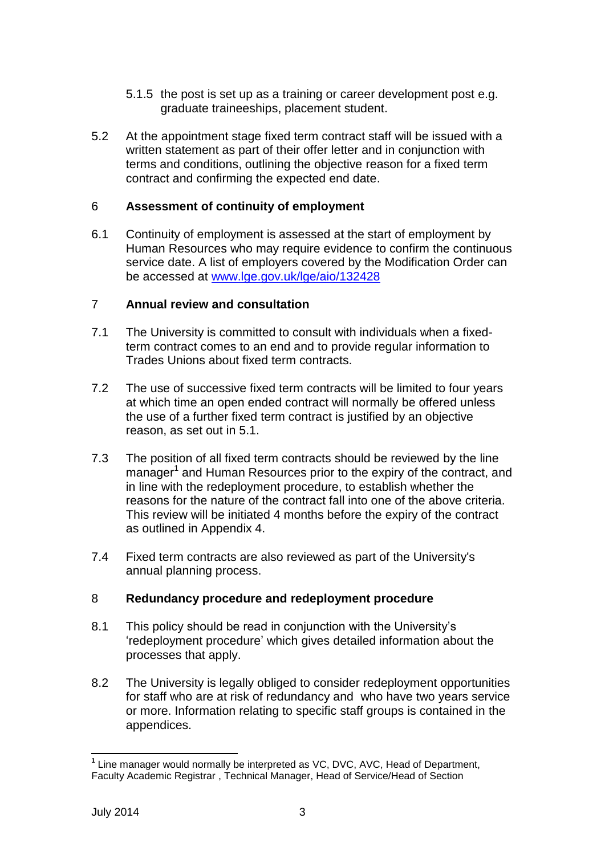- 5.1.5 the post is set up as a training or career development post e.g. graduate traineeships, placement student.
- 5.2 At the appointment stage fixed term contract staff will be issued with a written statement as part of their offer letter and in conjunction with terms and conditions, outlining the objective reason for a fixed term contract and confirming the expected end date.

### 6 **Assessment of continuity of employment**

6.1 Continuity of employment is assessed at the start of employment by Human Resources who may require evidence to confirm the continuous service date. A list of employers covered by the Modification Order can be accessed at [www.lge.gov.uk/lge/aio/132428](http://www.lge.gov.uk/lge/aio/132428)

### 7 **Annual review and consultation**

- 7.1 The University is committed to consult with individuals when a fixedterm contract comes to an end and to provide regular information to Trades Unions about fixed term contracts.
- 7.2 The use of successive fixed term contracts will be limited to four years at which time an open ended contract will normally be offered unless the use of a further fixed term contract is justified by an objective reason, as set out in 5.1.
- 7.3 The position of all fixed term contracts should be reviewed by the line manager<sup>1</sup> and Human Resources prior to the expiry of the contract, and in line with the redeployment procedure, to establish whether the reasons for the nature of the contract fall into one of the above criteria. This review will be initiated 4 months before the expiry of the contract as outlined in Appendix 4.
- 7.4 Fixed term contracts are also reviewed as part of the University's annual planning process.

### 8 **Redundancy procedure and redeployment procedure**

- 8.1 This policy should be read in conjunction with the University's 'redeployment procedure' which gives detailed information about the processes that apply.
- 8.2 The University is legally obliged to consider redeployment opportunities for staff who are at risk of redundancy and who have two years service or more. Information relating to specific staff groups is contained in the appendices.

<sup>-</sup>**1** Line manager would normally be interpreted as VC, DVC, AVC, Head of Department, Faculty Academic Registrar , Technical Manager, Head of Service/Head of Section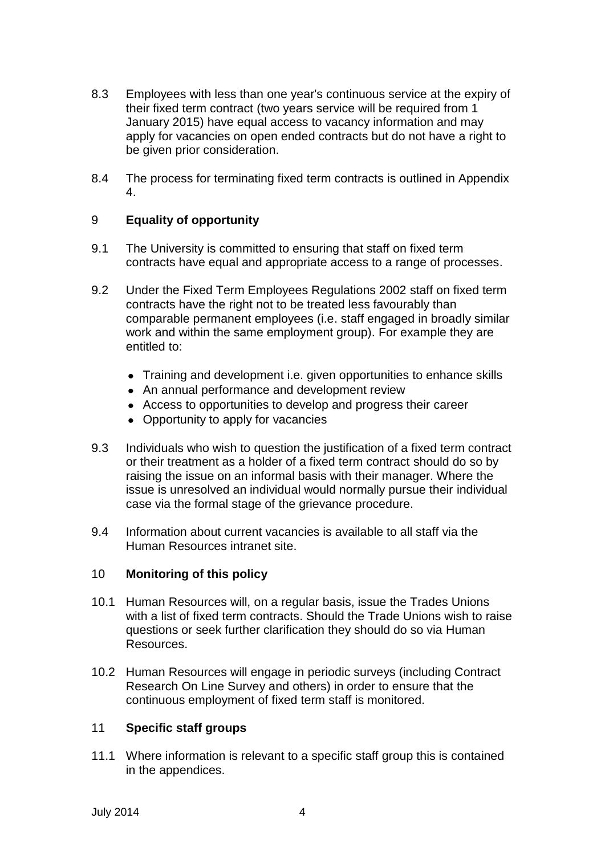- 8.3 Employees with less than one year's continuous service at the expiry of their fixed term contract (two years service will be required from 1 January 2015) have equal access to vacancy information and may apply for vacancies on open ended contracts but do not have a right to be given prior consideration.
- 8.4 The process for terminating fixed term contracts is outlined in Appendix 4.

### 9 **Equality of opportunity**

- 9.1 The University is committed to ensuring that staff on fixed term contracts have equal and appropriate access to a range of processes.
- 9.2 Under the Fixed Term Employees Regulations 2002 staff on fixed term contracts have the right not to be treated less favourably than comparable permanent employees (i.e. staff engaged in broadly similar work and within the same employment group). For example they are entitled to:
	- Training and development i.e. given opportunities to enhance skills
	- An annual performance and development review
	- Access to opportunities to develop and progress their career
	- Opportunity to apply for vacancies
- 9.3 Individuals who wish to question the justification of a fixed term contract or their treatment as a holder of a fixed term contract should do so by raising the issue on an informal basis with their manager. Where the issue is unresolved an individual would normally pursue their individual case via the formal stage of the grievance procedure.
- 9.4 Information about current vacancies is available to all staff via the Human Resources intranet site.

### 10 **Monitoring of this policy**

- 10.1 Human Resources will, on a regular basis, issue the Trades Unions with a list of fixed term contracts. Should the Trade Unions wish to raise questions or seek further clarification they should do so via Human Resources.
- 10.2 Human Resources will engage in periodic surveys (including Contract Research On Line Survey and others) in order to ensure that the continuous employment of fixed term staff is monitored.

### 11 **Specific staff groups**

11.1 Where information is relevant to a specific staff group this is contained in the appendices.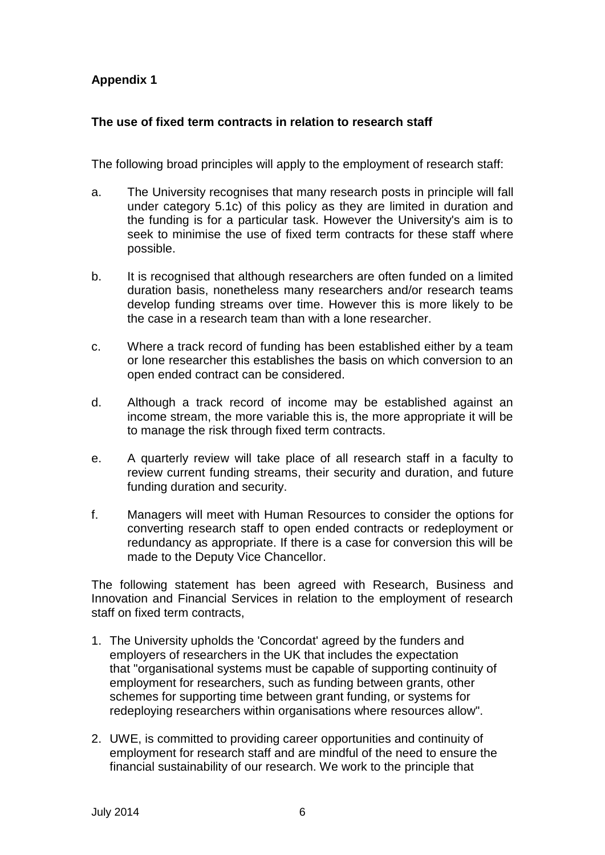## **Appendix 1**

### **The use of fixed term contracts in relation to research staff**

The following broad principles will apply to the employment of research staff:

- a. The University recognises that many research posts in principle will fall under category 5.1c) of this policy as they are limited in duration and the funding is for a particular task. However the University's aim is to seek to minimise the use of fixed term contracts for these staff where possible.
- b. It is recognised that although researchers are often funded on a limited duration basis, nonetheless many researchers and/or research teams develop funding streams over time. However this is more likely to be the case in a research team than with a lone researcher.
- c. Where a track record of funding has been established either by a team or lone researcher this establishes the basis on which conversion to an open ended contract can be considered.
- d. Although a track record of income may be established against an income stream, the more variable this is, the more appropriate it will be to manage the risk through fixed term contracts.
- e. A quarterly review will take place of all research staff in a faculty to review current funding streams, their security and duration, and future funding duration and security.
- f. Managers will meet with Human Resources to consider the options for converting research staff to open ended contracts or redeployment or redundancy as appropriate. If there is a case for conversion this will be made to the Deputy Vice Chancellor.

The following statement has been agreed with Research, Business and Innovation and Financial Services in relation to the employment of research staff on fixed term contracts,

- 1. The University upholds the 'Concordat' agreed by the funders and employers of researchers in the UK that includes the expectation that "organisational systems must be capable of supporting continuity of employment for researchers, such as funding between grants, other schemes for supporting time between grant funding, or systems for redeploying researchers within organisations where resources allow".
- 2. UWE, is committed to providing career opportunities and continuity of employment for research staff and are mindful of the need to ensure the financial sustainability of our research. We work to the principle that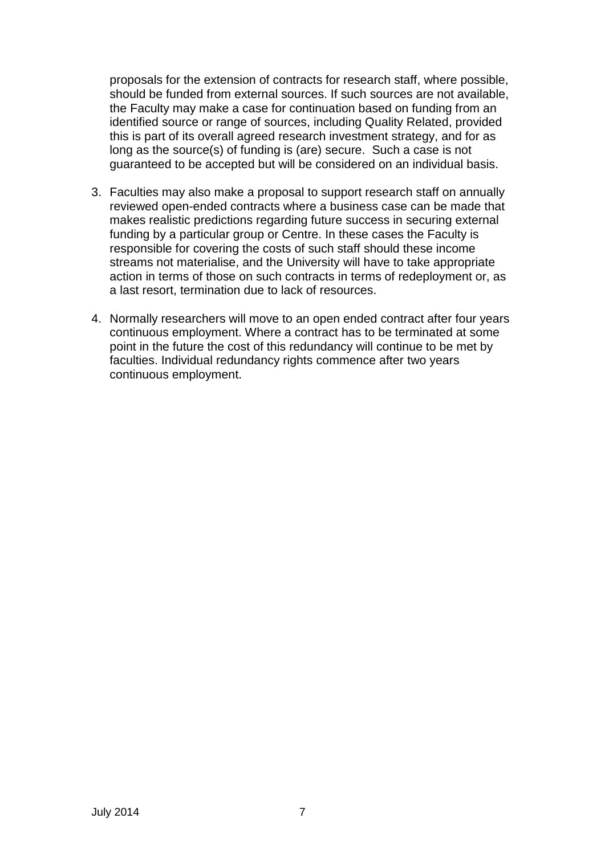proposals for the extension of contracts for research staff, where possible, should be funded from external sources. If such sources are not available, the Faculty may make a case for continuation based on funding from an identified source or range of sources, including Quality Related, provided this is part of its overall agreed research investment strategy, and for as long as the source(s) of funding is (are) secure. Such a case is not guaranteed to be accepted but will be considered on an individual basis.

- 3. Faculties may also make a proposal to support research staff on annually reviewed open-ended contracts where a business case can be made that makes realistic predictions regarding future success in securing external funding by a particular group or Centre. In these cases the Faculty is responsible for covering the costs of such staff should these income streams not materialise, and the University will have to take appropriate action in terms of those on such contracts in terms of redeployment or, as a last resort, termination due to lack of resources.
- 4. Normally researchers will move to an open ended contract after four years continuous employment. Where a contract has to be terminated at some point in the future the cost of this redundancy will continue to be met by faculties. Individual redundancy rights commence after two years continuous employment.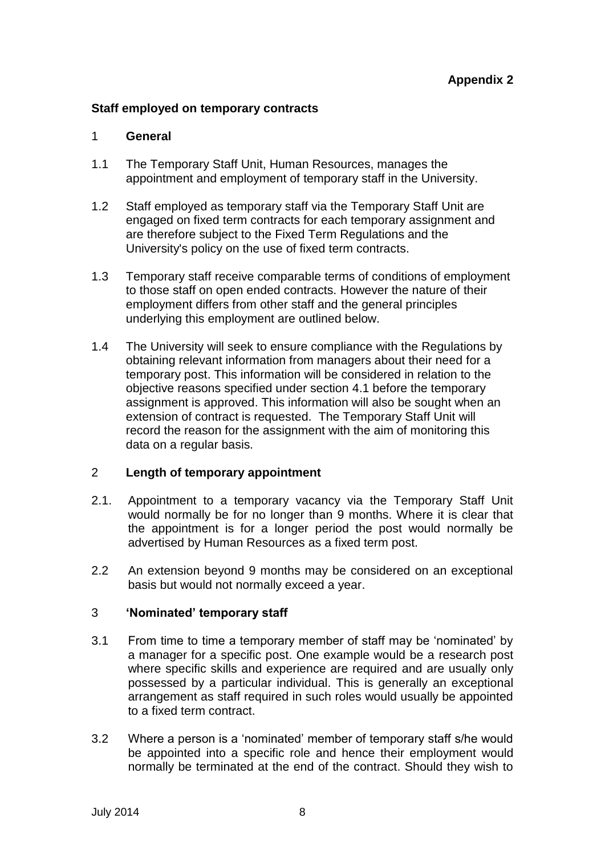### **Staff employed on temporary contracts**

### 1 **General**

- 1.1 The Temporary Staff Unit, Human Resources, manages the appointment and employment of temporary staff in the University.
- 1.2 Staff employed as temporary staff via the Temporary Staff Unit are engaged on fixed term contracts for each temporary assignment and are therefore subject to the Fixed Term Regulations and the University's policy on the use of fixed term contracts.
- 1.3 Temporary staff receive comparable terms of conditions of employment to those staff on open ended contracts. However the nature of their employment differs from other staff and the general principles underlying this employment are outlined below.
- 1.4 The University will seek to ensure compliance with the Regulations by obtaining relevant information from managers about their need for a temporary post. This information will be considered in relation to the objective reasons specified under section 4.1 before the temporary assignment is approved. This information will also be sought when an extension of contract is requested. The Temporary Staff Unit will record the reason for the assignment with the aim of monitoring this data on a regular basis.

### 2 **Length of temporary appointment**

- 2.1. Appointment to a temporary vacancy via the Temporary Staff Unit would normally be for no longer than 9 months. Where it is clear that the appointment is for a longer period the post would normally be advertised by Human Resources as a fixed term post.
- 2.2 An extension beyond 9 months may be considered on an exceptional basis but would not normally exceed a year.

### 3 **'Nominated' temporary staff**

- 3.1 From time to time a temporary member of staff may be 'nominated' by a manager for a specific post. One example would be a research post where specific skills and experience are required and are usually only possessed by a particular individual. This is generally an exceptional arrangement as staff required in such roles would usually be appointed to a fixed term contract.
- 3.2 Where a person is a 'nominated' member of temporary staff s/he would be appointed into a specific role and hence their employment would normally be terminated at the end of the contract. Should they wish to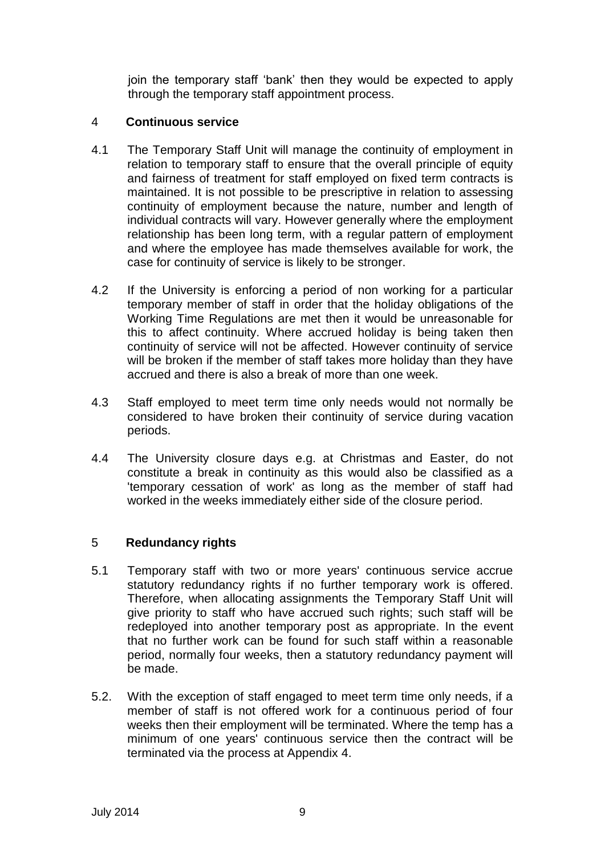join the temporary staff 'bank' then they would be expected to apply through the temporary staff appointment process.

### 4 **Continuous service**

- 4.1 The Temporary Staff Unit will manage the continuity of employment in relation to temporary staff to ensure that the overall principle of equity and fairness of treatment for staff employed on fixed term contracts is maintained. It is not possible to be prescriptive in relation to assessing continuity of employment because the nature, number and length of individual contracts will vary. However generally where the employment relationship has been long term, with a regular pattern of employment and where the employee has made themselves available for work, the case for continuity of service is likely to be stronger.
- 4.2 If the University is enforcing a period of non working for a particular temporary member of staff in order that the holiday obligations of the Working Time Regulations are met then it would be unreasonable for this to affect continuity. Where accrued holiday is being taken then continuity of service will not be affected. However continuity of service will be broken if the member of staff takes more holiday than they have accrued and there is also a break of more than one week.
- 4.3 Staff employed to meet term time only needs would not normally be considered to have broken their continuity of service during vacation periods.
- 4.4 The University closure days e.g. at Christmas and Easter, do not constitute a break in continuity as this would also be classified as a 'temporary cessation of work' as long as the member of staff had worked in the weeks immediately either side of the closure period.

### 5 **Redundancy rights**

- 5.1 Temporary staff with two or more years' continuous service accrue statutory redundancy rights if no further temporary work is offered. Therefore, when allocating assignments the Temporary Staff Unit will give priority to staff who have accrued such rights; such staff will be redeployed into another temporary post as appropriate. In the event that no further work can be found for such staff within a reasonable period, normally four weeks, then a statutory redundancy payment will be made.
- 5.2. With the exception of staff engaged to meet term time only needs, if a member of staff is not offered work for a continuous period of four weeks then their employment will be terminated. Where the temp has a minimum of one years' continuous service then the contract will be terminated via the process at Appendix 4.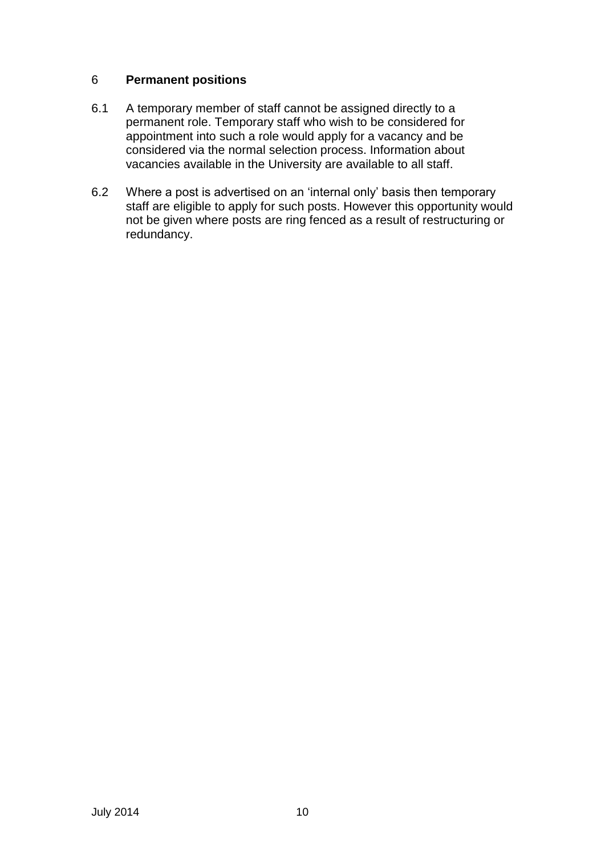### 6 **Permanent positions**

- 6.1 A temporary member of staff cannot be assigned directly to a permanent role. Temporary staff who wish to be considered for appointment into such a role would apply for a vacancy and be considered via the normal selection process. Information about vacancies available in the University are available to all staff.
- 6.2 Where a post is advertised on an 'internal only' basis then temporary staff are eligible to apply for such posts. However this opportunity would not be given where posts are ring fenced as a result of restructuring or redundancy.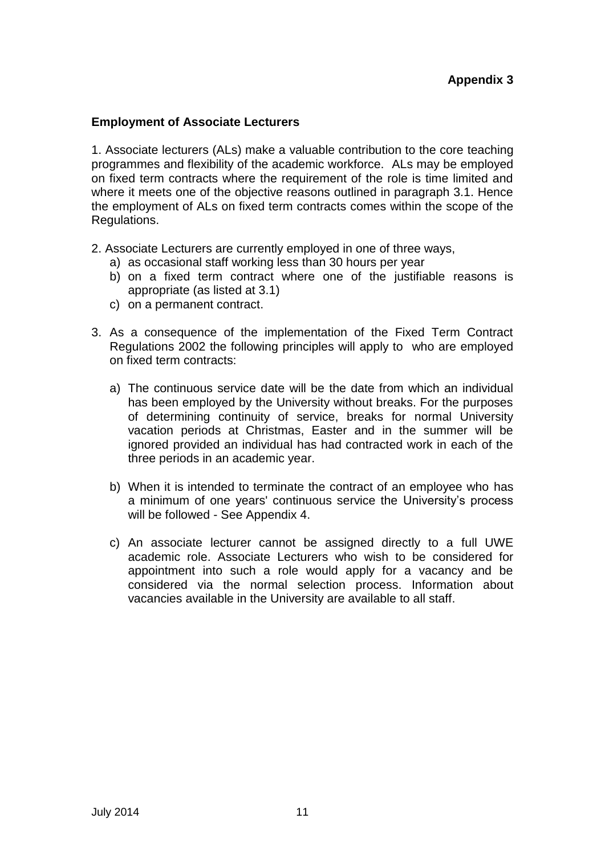### **Employment of Associate Lecturers**

1. Associate lecturers (ALs) make a valuable contribution to the core teaching programmes and flexibility of the academic workforce. ALs may be employed on fixed term contracts where the requirement of the role is time limited and where it meets one of the objective reasons outlined in paragraph 3.1. Hence the employment of ALs on fixed term contracts comes within the scope of the Regulations.

- 2. Associate Lecturers are currently employed in one of three ways,
	- a) as occasional staff working less than 30 hours per year
	- b) on a fixed term contract where one of the justifiable reasons is appropriate (as listed at 3.1)
	- c) on a permanent contract.
- 3. As a consequence of the implementation of the Fixed Term Contract Regulations 2002 the following principles will apply to who are employed on fixed term contracts:
	- a) The continuous service date will be the date from which an individual has been employed by the University without breaks. For the purposes of determining continuity of service, breaks for normal University vacation periods at Christmas, Easter and in the summer will be ignored provided an individual has had contracted work in each of the three periods in an academic year.
	- b) When it is intended to terminate the contract of an employee who has a minimum of one years' continuous service the University's process will be followed - See Appendix 4.
	- c) An associate lecturer cannot be assigned directly to a full UWE academic role. Associate Lecturers who wish to be considered for appointment into such a role would apply for a vacancy and be considered via the normal selection process. Information about vacancies available in the University are available to all staff.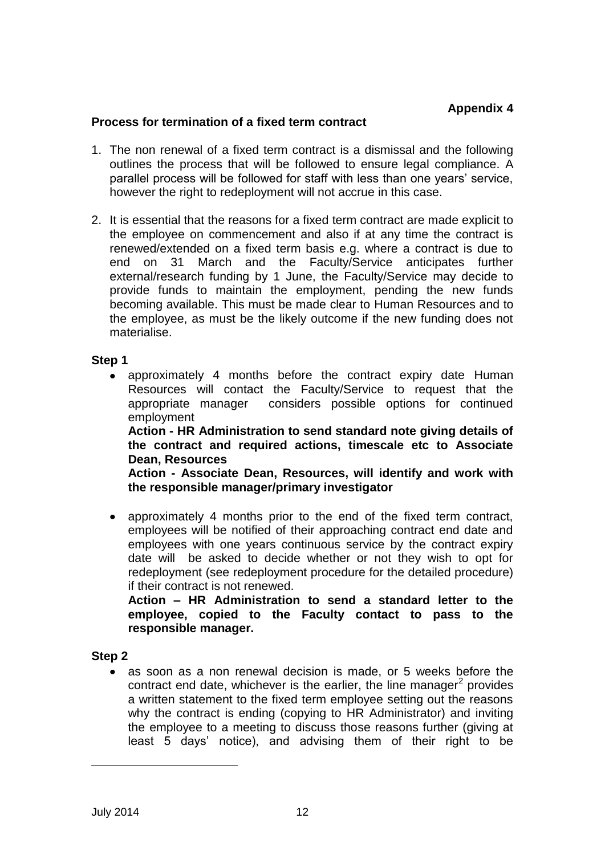### **Process for termination of a fixed term contract**

- 1. The non renewal of a fixed term contract is a dismissal and the following outlines the process that will be followed to ensure legal compliance. A parallel process will be followed for staff with less than one years' service, however the right to redeployment will not accrue in this case.
- 2. It is essential that the reasons for a fixed term contract are made explicit to the employee on commencement and also if at any time the contract is renewed/extended on a fixed term basis e.g. where a contract is due to end on 31 March and the Faculty/Service anticipates further external/research funding by 1 June, the Faculty/Service may decide to provide funds to maintain the employment, pending the new funds becoming available. This must be made clear to Human Resources and to the employee, as must be the likely outcome if the new funding does not materialise.

### **Step 1**

approximately 4 months before the contract expiry date Human Resources will contact the Faculty/Service to request that the appropriate manager considers possible options for continued employment **Action - HR Administration to send standard note giving details of** 

**the contract and required actions, timescale etc to Associate Dean, Resources**

**Action - Associate Dean, Resources, will identify and work with the responsible manager/primary investigator**

approximately 4 months prior to the end of the fixed term contract,  $\bullet$ employees will be notified of their approaching contract end date and employees with one years continuous service by the contract expiry date will be asked to decide whether or not they wish to opt for redeployment (see redeployment procedure for the detailed procedure) if their contract is not renewed.

**Action – HR Administration to send a standard letter to the employee, copied to the Faculty contact to pass to the responsible manager.**

### **Step 2**

as soon as a non renewal decision is made, or 5 weeks before the contract end date, whichever is the earlier, the line manager $2$  provides a written statement to the fixed term employee setting out the reasons why the contract is ending (copying to HR Administrator) and inviting the employee to a meeting to discuss those reasons further (giving at least 5 days' notice), and advising them of their right to be

-